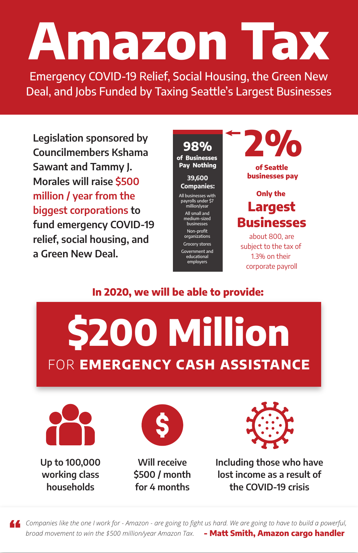# **Amazon Tax**

**Legislation sponsored by Councilmembers Kshama Sawant and Tammy J. Morales will raise \$500 million / year from the biggest corporations to fund emergency COVID-19 relief, social housing, and a Green New Deal.**

**Up to 100,000 working class households**

**Will receive \$500 / month for 4 months**

**Including those who have lost income as a result of the COVID-19 crisis**

Emergency COVID-19 Relief, Social Housing, the Green New Deal, and Jobs Funded by Taxing Seattle's Largest Businesses

**2%**

**of Seattle businesses pay**

### **Only the Largest Businesses**

about 800, are subject to the tax of 1.3% on their corporate payroll

**98% of Businesses Pay Nothing 39,600 Companies:** All businesses with payrolls under \$7

million/year All small and medium-sized

businesses Non-profit organizations

Grocery stores Government and educational

employers













#### **In 2020, we will be able to provide:**

*Companies like the one I work for - Amazon - are going to fight us hard. We are going to have to build a powerful, broad movement to win the \$500 million/year Amazon Tax.* **- Matt Smith, Amazon cargo handler**